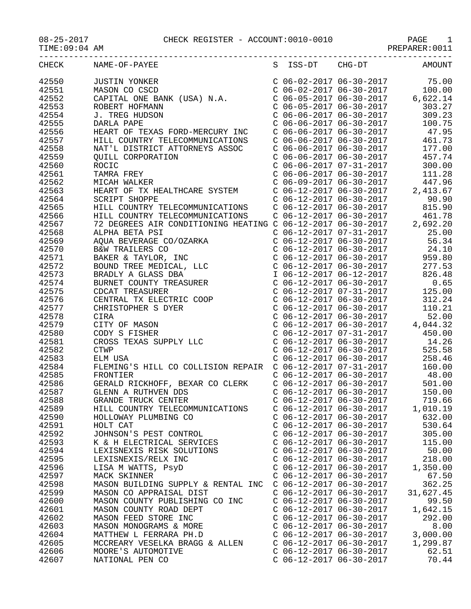| CHECK | NAME-OF-PAYEE                                                                                                          |                           | S ISS-DT CHG-DT                                                               | AMOUNT                                                                                                                                                                                       |
|-------|------------------------------------------------------------------------------------------------------------------------|---------------------------|-------------------------------------------------------------------------------|----------------------------------------------------------------------------------------------------------------------------------------------------------------------------------------------|
| 42550 | JUSTIN YONKER<br>MASON CO CSCD<br>CAPITAL ONE BANK (USA) N.A.                                                          |                           |                                                                               | $\begin{array}{cccccc}\nC & 06 & -02 & -2017 & 06 & -30 & -2017 & & & & 75.00 \\ C & 06 & -02 & -2017 & 06 & -30 & -2017 & & & 100.00\n\end{array}$                                          |
| 42551 |                                                                                                                        |                           |                                                                               |                                                                                                                                                                                              |
| 42552 |                                                                                                                        |                           |                                                                               | $C$ 06-05-2017 06-30-2017 6,622.14                                                                                                                                                           |
| 42553 | ROBERT HOFMANN                                                                                                         |                           |                                                                               | 303.27                                                                                                                                                                                       |
|       |                                                                                                                        |                           | $C$ 06-05-2017 06-30-2017                                                     |                                                                                                                                                                                              |
| 42554 | J. TREG HUDSON                                                                                                         |                           | C 06-06-2017 06-30-2017<br>C 06-06-2017 06-30-2017<br>C 06-06-2017 06-30-2017 | 309.23                                                                                                                                                                                       |
| 42555 | DARLA PAPE                                                                                                             |                           |                                                                               | 100.75                                                                                                                                                                                       |
| 42556 | HEART OF TEXAS FORD-MERCURY INC                                                                                        |                           |                                                                               | 47.95                                                                                                                                                                                        |
| 42557 | HILL COUNTRY TELECOMMUNICATIONS                                                                                        |                           | $C$ 06-06-2017 06-30-2017                                                     | 461.73                                                                                                                                                                                       |
| 42558 | NAT'L DISTRICT ATTORNEYS ASSOC                                                                                         |                           | $C$ 06-06-2017 06-30-2017                                                     | 177.00                                                                                                                                                                                       |
| 42559 | <b>QUILL CORPORATION</b>                                                                                               |                           | $C$ 06-06-2017 06-30-2017                                                     | 457.74                                                                                                                                                                                       |
| 42560 | ROCIC                                                                                                                  |                           |                                                                               | 300.00                                                                                                                                                                                       |
| 42561 | TAMRA FREY                                                                                                             |                           | C 06-06-2017 07-31-2017<br>C 06-06-2017 06-30-2017                            | 111.28                                                                                                                                                                                       |
| 42562 | MICAH WALKER                                                                                                           |                           | $C$ 06-09-2017 06-30-2017                                                     | 447.96                                                                                                                                                                                       |
| 42563 | HEART OF TX HEALTHCARE SYSTEM                                                                                          |                           |                                                                               | $C$ 06-12-2017 06-30-2017 2,413.67                                                                                                                                                           |
|       |                                                                                                                        |                           |                                                                               |                                                                                                                                                                                              |
| 42564 | <b>SCRIPT SHOPPE</b>                                                                                                   |                           | $C$ 06-12-2017 06-30-2017                                                     | 90.90                                                                                                                                                                                        |
| 42565 | HILL COUNTRY TELECOMMUNICATIONS                                                                                        |                           | $C$ 06-12-2017 06-30-2017                                                     | 815.90                                                                                                                                                                                       |
| 42566 | HILL COUNTRY TELECOMMUNICATIONS C 06-12-2017 06-30-2017<br>72 DEGREES AIR CONDITIONING HEATING C 06-12-2017 06-30-2017 |                           |                                                                               | 461.78                                                                                                                                                                                       |
| 42567 |                                                                                                                        |                           |                                                                               | 2,692.20                                                                                                                                                                                     |
| 42568 | ALPHA BETA PSI                                                                                                         |                           | $C$ 06-12-2017 07-31-2017                                                     | 25.00                                                                                                                                                                                        |
| 42569 |                                                                                                                        |                           | $C$ 06-12-2017 06-30-2017                                                     | 56.34                                                                                                                                                                                        |
| 42570 |                                                                                                                        |                           | $C$ 06-12-2017 06-30-2017                                                     | 24.10                                                                                                                                                                                        |
| 42571 |                                                                                                                        |                           |                                                                               |                                                                                                                                                                                              |
| 42572 | AQUA BEVERAGE CO/OZARKA<br>B&W TRAILERS CO<br>BAKER & TAYLOR, INC<br>BOUND TREE MEDICAL, LLC<br>BRADLY A GLASS DBA     |                           |                                                                               | C $06-12-2017$ $06-30-2017$ 959.80<br>C $06-12-2017$ $06-30-2017$ 277.53                                                                                                                     |
| 42573 |                                                                                                                        |                           | I 06-12-2017 06-12-2017                                                       | 826.48                                                                                                                                                                                       |
| 42574 | BURNET COUNTY TREASURER                                                                                                |                           | $C$ 06-12-2017 06-30-2017                                                     |                                                                                                                                                                                              |
|       |                                                                                                                        |                           |                                                                               | 0.65                                                                                                                                                                                         |
| 42575 | CDCAT TREASURER<br>CDCAT TREASURER<br>CENTRAL TX ELECTRIC COOP                                                         |                           | C 06-12-2017 07-31-2017                                                       | 125.00                                                                                                                                                                                       |
| 42576 |                                                                                                                        |                           | $C$ 06-12-2017 06-30-2017                                                     | 312.24                                                                                                                                                                                       |
| 42577 | CHRISTOPHER S DYER                                                                                                     |                           |                                                                               |                                                                                                                                                                                              |
| 42578 | CIRA                                                                                                                   |                           |                                                                               |                                                                                                                                                                                              |
| 42579 | CITY OF MASON                                                                                                          |                           |                                                                               | $\begin{tabular}{lllllllllll} $\text{C} & 06-12-2017 & 06-30-2017 & 110.21 \\ $\text{C} & 06-12-2017 & 06-30-2017 & 52.00 \\ $\text{C} & 06-12-2017 & 06-30-2017 & 4\,,044.32 \end{tabular}$ |
| 42580 | CODY S FISHER                                                                                                          |                           | C 06-12-2017 07-31-2017                                                       | 450.00                                                                                                                                                                                       |
| 42581 | CROSS TEXAS SUPPLY LLC                                                                                                 |                           | $C$ 06-12-2017 06-30-2017                                                     | 14.26                                                                                                                                                                                        |
| 42582 | <b>CTWP</b>                                                                                                            |                           |                                                                               | 525.58                                                                                                                                                                                       |
| 42583 | ELM USA                                                                                                                |                           | C 06-12-2017 06-30-2017<br>C 06-12-2017 06-30-2017                            | 258.46                                                                                                                                                                                       |
| 42584 | FLEMING'S HILL CO COLLISION REPAIR C 06-12-2017 07-31-2017                                                             |                           |                                                                               | 160.00                                                                                                                                                                                       |
| 42585 | FRONTIER                                                                                                               |                           | $C$ 06-12-2017 06-30-2017                                                     | 48.00                                                                                                                                                                                        |
|       |                                                                                                                        |                           |                                                                               |                                                                                                                                                                                              |
| 42586 | GERALD RICKHOFF, BEXAR CO CLERK                                                                                        |                           | C 06-12-2017 06-30-2017                                                       | 501.00                                                                                                                                                                                       |
| 42587 | GLENN A RUTHVEN DDS                                                                                                    |                           | $C$ 06-12-2017 06-30-2017                                                     | 150.00                                                                                                                                                                                       |
| 42588 | GRANDE TRUCK CENTER                                                                                                    | $C$ 06-12-2017 06-30-2017 |                                                                               | 719.66                                                                                                                                                                                       |
| 42589 | HILL COUNTRY TELECOMMUNICATIONS                                                                                        | C 06-12-2017 06-30-2017   |                                                                               | 1,010.19                                                                                                                                                                                     |
| 42590 | HOLLOWAY PLUMBING CO                                                                                                   | $C$ 06-12-2017 06-30-2017 |                                                                               | 632.00                                                                                                                                                                                       |
| 42591 | HOLT CAT                                                                                                               | $C$ 06-12-2017 06-30-2017 |                                                                               | 530.64                                                                                                                                                                                       |
| 42592 | JOHNSON'S PEST CONTROL                                                                                                 | $C$ 06-12-2017 06-30-2017 |                                                                               | 305.00                                                                                                                                                                                       |
| 42593 | K & H ELECTRICAL SERVICES                                                                                              | $C$ 06-12-2017 06-30-2017 |                                                                               | 115.00                                                                                                                                                                                       |
| 42594 | LEXISNEXIS RISK SOLUTIONS                                                                                              | $C$ 06-12-2017 06-30-2017 |                                                                               | 50.00                                                                                                                                                                                        |
| 42595 | LEXISNEXIS/RELX INC                                                                                                    | $C$ 06-12-2017 06-30-2017 |                                                                               | 218.00                                                                                                                                                                                       |
| 42596 | LISA M WATTS, PsyD                                                                                                     | $C$ 06-12-2017 06-30-2017 |                                                                               | 1,350.00                                                                                                                                                                                     |
|       |                                                                                                                        |                           |                                                                               |                                                                                                                                                                                              |
| 42597 | MACK SKINNER                                                                                                           | $C$ 06-12-2017 06-30-2017 |                                                                               | 67.50                                                                                                                                                                                        |
| 42598 | MASON BUILDING SUPPLY & RENTAL INC                                                                                     | C 06-12-2017 06-30-2017   |                                                                               | 362.25                                                                                                                                                                                       |
| 42599 | MASON CO APPRAISAL DIST                                                                                                | $C$ 06-12-2017 06-30-2017 |                                                                               | 31,627.45                                                                                                                                                                                    |
| 42600 | MASON COUNTY PUBLISHING CO INC                                                                                         | C 06-12-2017 06-30-2017   |                                                                               | 99.50                                                                                                                                                                                        |
| 42601 | MASON COUNTY ROAD DEPT                                                                                                 | $C$ 06-12-2017 06-30-2017 |                                                                               | 1,642.15                                                                                                                                                                                     |
| 42602 | MASON FEED STORE INC                                                                                                   | $C$ 06-12-2017 06-30-2017 |                                                                               | 292.00                                                                                                                                                                                       |
| 42603 | MASON MONOGRAMS & MORE                                                                                                 | $C$ 06-12-2017 06-30-2017 |                                                                               | 8.00                                                                                                                                                                                         |
| 42604 | MATTHEW L FERRARA PH.D                                                                                                 | $C$ 06-12-2017 06-30-2017 |                                                                               | 3,000.00                                                                                                                                                                                     |
| 42605 | MCCREARY VESELKA BRAGG & ALLEN                                                                                         | $C$ 06-12-2017 06-30-2017 |                                                                               | 1,299.87                                                                                                                                                                                     |
| 42606 | MOORE'S AUTOMOTIVE                                                                                                     | $C$ 06-12-2017 06-30-2017 |                                                                               | 62.51                                                                                                                                                                                        |
| 42607 | NATIONAL PEN CO                                                                                                        | $C$ 06-12-2017 06-30-2017 |                                                                               | 70.44                                                                                                                                                                                        |
|       |                                                                                                                        |                           |                                                                               |                                                                                                                                                                                              |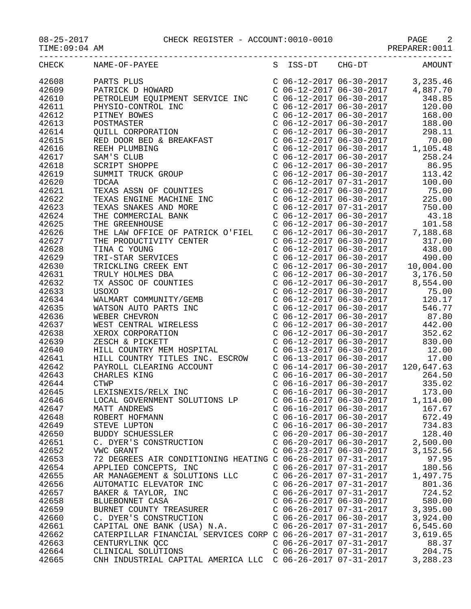## 08-25-2017 CHECK REGISTER - ACCOUNT:0010-0010 PAGE 2

PREPARER:0011

|       | CHECK NAME-OF-PAYEE S ISS-DT CHG-DT AMOUNT                  |                           |          |
|-------|-------------------------------------------------------------|---------------------------|----------|
| 42608 |                                                             |                           |          |
| 42609 |                                                             |                           |          |
| 42610 |                                                             |                           |          |
|       |                                                             |                           |          |
| 42611 |                                                             |                           |          |
| 42612 |                                                             |                           |          |
| 42613 |                                                             |                           |          |
| 42614 |                                                             |                           |          |
| 42615 |                                                             |                           |          |
| 42616 |                                                             |                           |          |
| 42617 |                                                             |                           |          |
| 42618 |                                                             |                           |          |
| 42619 |                                                             |                           |          |
|       |                                                             |                           |          |
| 42620 |                                                             |                           |          |
| 42621 |                                                             |                           |          |
| 42622 |                                                             |                           |          |
| 42623 |                                                             |                           |          |
| 42624 |                                                             |                           |          |
| 42625 |                                                             |                           |          |
| 42626 |                                                             |                           |          |
| 42627 |                                                             |                           |          |
| 42628 |                                                             |                           |          |
|       |                                                             |                           |          |
| 42629 |                                                             |                           |          |
| 42630 |                                                             |                           |          |
| 42631 |                                                             |                           |          |
| 42632 |                                                             |                           |          |
| 42633 |                                                             |                           |          |
| 42634 |                                                             |                           |          |
| 42635 |                                                             |                           |          |
| 42636 |                                                             |                           |          |
| 42637 |                                                             |                           |          |
| 42638 |                                                             |                           |          |
|       |                                                             |                           |          |
| 42639 |                                                             |                           |          |
| 42640 |                                                             |                           |          |
| 42641 |                                                             |                           |          |
| 42642 |                                                             |                           |          |
| 42643 |                                                             |                           |          |
| 42644 |                                                             |                           |          |
| 42645 |                                                             |                           |          |
| 42646 |                                                             |                           |          |
| 42647 | MATT ANDREWS                                                | $C$ 06-16-2017 06-30-2017 | 167.67   |
| 42648 | ROBERT HOFMANN                                              | $C$ 06-16-2017 06-30-2017 | 672.49   |
|       |                                                             |                           |          |
| 42649 | STEVE LUPTON                                                | $C$ 06-16-2017 06-30-2017 | 734.83   |
| 42650 | BUDDY SCHUESSLER                                            | $C$ 06-20-2017 06-30-2017 | 128.40   |
| 42651 | C. DYER'S CONSTRUCTION                                      | $C$ 06-20-2017 06-30-2017 | 2,500.00 |
| 42652 | VWC GRANT                                                   | $C$ 06-23-2017 06-30-2017 | 3,152.56 |
| 42653 | 72 DEGREES AIR CONDITIONING HEATING C 06-26-2017 07-31-2017 |                           | 97.95    |
| 42654 | APPLIED CONCEPTS, INC                                       | C 06-26-2017 07-31-2017   | 180.56   |
| 42655 | AR MANAGEMENT & SOLUTIONS LLC                               | $C$ 06-26-2017 07-31-2017 | 1,497.75 |
| 42656 | AUTOMATIC ELEVATOR INC                                      | $C$ 06-26-2017 07-31-2017 | 801.36   |
| 42657 | BAKER & TAYLOR, INC                                         | $C$ 06-26-2017 07-31-2017 | 724.52   |
|       |                                                             |                           |          |
| 42658 | BLUEBONNET CASA                                             | $C$ 06-26-2017 06-30-2017 | 580.00   |
| 42659 | BURNET COUNTY TREASURER                                     | $C$ 06-26-2017 07-31-2017 | 3,395.00 |
| 42660 | C. DYER'S CONSTRUCTION                                      | $C$ 06-26-2017 06-30-2017 | 3,924.00 |
| 42661 | CAPITAL ONE BANK (USA) N.A.                                 | $C$ 06-26-2017 07-31-2017 | 6,545.60 |
| 42662 | CATERPILLAR FINANCIAL SERVICES CORP C 06-26-2017 07-31-2017 |                           | 3,619.65 |
| 42663 | CENTURYLINK QCC                                             | $C$ 06-26-2017 07-31-2017 | 88.37    |
| 42664 | CLINICAL SOLUTIONS                                          | $C$ 06-26-2017 07-31-2017 | 204.75   |

42665 CNH INDUSTRIAL CAPITAL AMERICA LLC C 06-26-2017 07-31-2017 3,288.23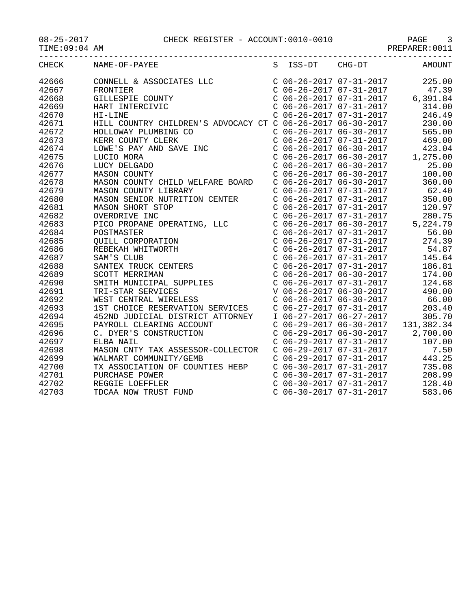## 08-25-2017 CHECK REGISTER - ACCOUNT:0010-0010 PAGE 3

TIME:09:04 AM PREPARER:0011

|       | CHECK NAME-OF-PAYEE<br>S ISS-DT CHG-DT AMOUNT                                                                                                                                                                                                                                                                                                                                                                                                                                                          |  |                                                                               |        |
|-------|--------------------------------------------------------------------------------------------------------------------------------------------------------------------------------------------------------------------------------------------------------------------------------------------------------------------------------------------------------------------------------------------------------------------------------------------------------------------------------------------------------|--|-------------------------------------------------------------------------------|--------|
| 42666 |                                                                                                                                                                                                                                                                                                                                                                                                                                                                                                        |  |                                                                               |        |
| 42667 |                                                                                                                                                                                                                                                                                                                                                                                                                                                                                                        |  |                                                                               |        |
| 42668 |                                                                                                                                                                                                                                                                                                                                                                                                                                                                                                        |  |                                                                               |        |
| 42669 |                                                                                                                                                                                                                                                                                                                                                                                                                                                                                                        |  |                                                                               |        |
| 42670 |                                                                                                                                                                                                                                                                                                                                                                                                                                                                                                        |  |                                                                               |        |
| 42671 |                                                                                                                                                                                                                                                                                                                                                                                                                                                                                                        |  |                                                                               |        |
| 42672 |                                                                                                                                                                                                                                                                                                                                                                                                                                                                                                        |  |                                                                               |        |
| 42673 |                                                                                                                                                                                                                                                                                                                                                                                                                                                                                                        |  |                                                                               |        |
| 42674 |                                                                                                                                                                                                                                                                                                                                                                                                                                                                                                        |  |                                                                               |        |
| 42675 |                                                                                                                                                                                                                                                                                                                                                                                                                                                                                                        |  |                                                                               |        |
| 42676 |                                                                                                                                                                                                                                                                                                                                                                                                                                                                                                        |  |                                                                               |        |
| 42677 |                                                                                                                                                                                                                                                                                                                                                                                                                                                                                                        |  |                                                                               |        |
| 42678 |                                                                                                                                                                                                                                                                                                                                                                                                                                                                                                        |  |                                                                               |        |
| 42679 |                                                                                                                                                                                                                                                                                                                                                                                                                                                                                                        |  |                                                                               |        |
| 42680 |                                                                                                                                                                                                                                                                                                                                                                                                                                                                                                        |  |                                                                               |        |
| 42681 |                                                                                                                                                                                                                                                                                                                                                                                                                                                                                                        |  |                                                                               |        |
| 42682 |                                                                                                                                                                                                                                                                                                                                                                                                                                                                                                        |  |                                                                               |        |
| 42683 |                                                                                                                                                                                                                                                                                                                                                                                                                                                                                                        |  |                                                                               |        |
| 42684 |                                                                                                                                                                                                                                                                                                                                                                                                                                                                                                        |  |                                                                               |        |
| 42685 |                                                                                                                                                                                                                                                                                                                                                                                                                                                                                                        |  |                                                                               |        |
| 42686 |                                                                                                                                                                                                                                                                                                                                                                                                                                                                                                        |  | $C$ 06-26-2017 07-31-2017 54.87                                               |        |
| 42687 |                                                                                                                                                                                                                                                                                                                                                                                                                                                                                                        |  | $C$ 06-26-2017 07-31-2017                                                     | 145.64 |
| 42688 |                                                                                                                                                                                                                                                                                                                                                                                                                                                                                                        |  | C 06-26-2017 07-31-2017                                                       | 186.81 |
| 42689 |                                                                                                                                                                                                                                                                                                                                                                                                                                                                                                        |  | C 06-26-2017 06-30-2017<br>C 06-26-2017 07-31-2017<br>V 06-26-2017 06-30-2017 | 174.00 |
| 42690 |                                                                                                                                                                                                                                                                                                                                                                                                                                                                                                        |  |                                                                               | 124.68 |
| 42691 |                                                                                                                                                                                                                                                                                                                                                                                                                                                                                                        |  |                                                                               | 490.00 |
| 42692 | PICO PROPANE OPERAIING, LLC<br>POSTMASTER<br>QUILL CORPORATION<br>REBEKAH WHITWORTH<br>SAM'S CLUB<br>SANTEX TRUCK CENTERS<br>SCOTT MERRIMAN<br>SMITH MUNICIPAL SUPPLIES<br>TRI-STAR SERVICES<br>WEST CENTRAL WIRELESS<br>MEST CENTRAL WIRELESS<br>WEST CENTRAL WIRELESS<br>WEST CENTRAL WIRELESS<br>1ST CHOICE RESERVATION SERVICES<br>490.00<br>1ST CHOICE RESERVATION SERVICES<br>490.00<br>1ST CHOICE RESERVATION SERVICES<br>490.00<br>1ST CHOICE RESERVATION SERVICES<br>490.00<br>203.40<br>490. |  |                                                                               |        |
| 42693 |                                                                                                                                                                                                                                                                                                                                                                                                                                                                                                        |  |                                                                               |        |
| 42694 |                                                                                                                                                                                                                                                                                                                                                                                                                                                                                                        |  |                                                                               |        |
| 42695 | PAYROLL CLEARING ACCOUNT<br>C. DYER'S CONSTRUCTION                                                                                                                                                                                                                                                                                                                                                                                                                                                     |  |                                                                               |        |
| 42696 |                                                                                                                                                                                                                                                                                                                                                                                                                                                                                                        |  |                                                                               |        |
| 42697 | ELBA NAIL<br>ELBA NAIL C 06-29-2017 07-31-2017<br>MASON CNTY TAX ASSESSOR-COLLECTOR C 06-29-2017 07-31-2017                                                                                                                                                                                                                                                                                                                                                                                            |  |                                                                               | 107.00 |
| 42698 |                                                                                                                                                                                                                                                                                                                                                                                                                                                                                                        |  |                                                                               | 7.50   |
| 42699 | WALMART COMMUNITY/GEMB                                                                                                                                                                                                                                                                                                                                                                                                                                                                                 |  | C 06-29-2017 07-31-2017                                                       | 443.25 |
| 42700 |                                                                                                                                                                                                                                                                                                                                                                                                                                                                                                        |  |                                                                               | 735.08 |
| 42701 |                                                                                                                                                                                                                                                                                                                                                                                                                                                                                                        |  |                                                                               | 208.99 |
| 42702 |                                                                                                                                                                                                                                                                                                                                                                                                                                                                                                        |  |                                                                               | 128.40 |
| 42703 | PURCHASE POWER<br>REGGIE LOEFFLER<br>TDCAA NOW TRUST FUND                                                                                                                                                                                                                                                                                                                                                                                                                                              |  | $C$ 06-30-2017 07-31-2017                                                     | 583.06 |
|       |                                                                                                                                                                                                                                                                                                                                                                                                                                                                                                        |  |                                                                               |        |